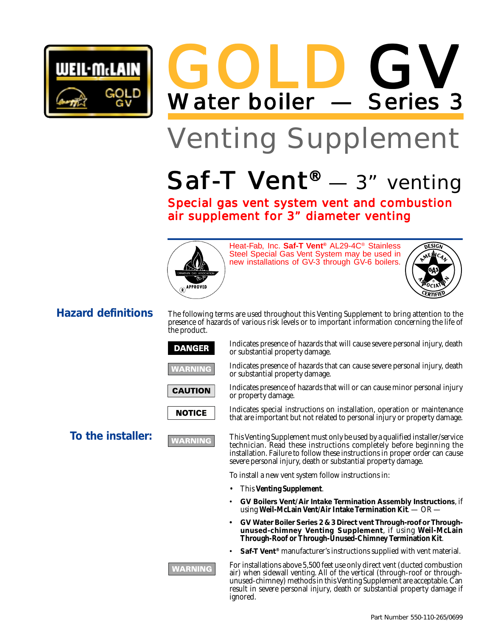

GOLD Water boiler — Series 3 GV

# Venting Supplement

# Saf-T Vent<sup>®</sup> — 3" venting

Special gas vent system vent and combustion air supplement for 3" diameter venting



Heat-Fab, Inc. **Saf-T Vent®** AL29-4C® Stainless Steel Special Gas Vent System may be used in new installations of GV-3 through GV-6 boilers.



## **Hazard definitions**

The following terms are used throughout this Venting Supplement to bring attention to the presence of hazards of various risk levels or to important information concerning the life of the product.

### **DANGER**





Indicates presence of hazards that can cause severe personal injury, death or substantial property damage. Indicates presence of hazards that will or can cause minor personal injury

Indicates presence of hazards that will cause severe personal injury, death





or property damage. Indicates special instructions on installation, operation or maintenance that are important but not related to personal injury or property damage.

**To the installer: This Venting Supplement must only be used by a qualified installer/service** technician. Read these instructions completely before beginning the installation. Failure to follow these instructions in proper order can cause severe personal injury, death or substantial property damage.

To install a new vent system follow instructions in:

• This **Venting Supplement**.

or substantial property damage.

- **GV Boilers Vent/Air Intake Termination Assembly Instructions**, if using **Weil-McLain Vent/Air Intake Termination Kit**. — OR —
- **• GV Water Boiler Series 2 & 3 Direct vent Through-roof or Throughunused-chimney Venting Supplement**, if using **Weil-McLain Through-Roof or Through-Unused-Chimney Termination Kit**.
- **Saf-T Vent®** manufacturer's instructions supplied with vent material.

For installations above 5,500 feet use only direct vent (ducted combustion air) when sidewall venting. All of the vertical (through-roof or throughunused-chimney) methods in this Venting Supplement are acceptable. Can result in severe personal injury, death or substantial property damage if ignored.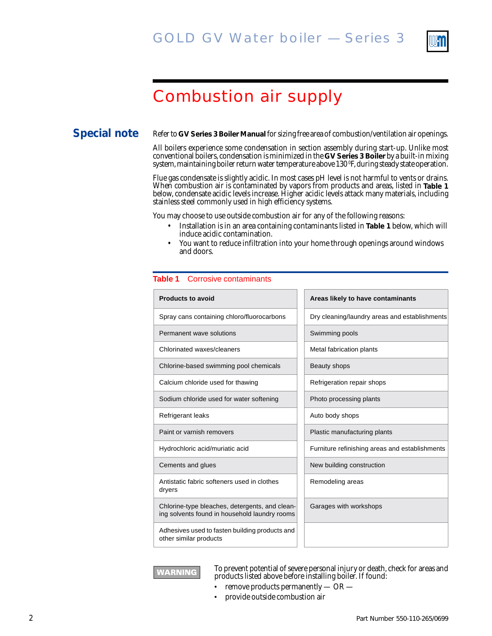

# Combustion air supply

### **Special note**

Refer to **GV Series 3 Boiler Manual** for sizing free area of combustion/ventilation air openings.

All boilers experience some condensation in section assembly during start-up. Unlike most conventional boilers, condensation is minimized in the **GV Series 3 Boiler** by a built-in mixing system, maintaining boiler return water temperature above 130 ºF, during steady state operation.

Flue gas condensate is slightly acidic. In most cases pH level is not harmful to vents or drains. When combustion air is contaminated by vapors from products and areas, listed in **Table 1** below, condensate acidic levels increase. Higher acidic levels attack many materials, including stainless steel commonly used in high efficiency systems.

You may choose to use outside combustion air for any of the following reasons:

- Installation is in an area containing contaminants listed in **Table 1** below, which will induce acidic contamination.
- You want to reduce infiltration into your home through openings around windows and doors.

#### **Table 1** Corrosive contaminants

| <b>Products to avoid</b>                                                                        | Areas likely to have contaminants              |
|-------------------------------------------------------------------------------------------------|------------------------------------------------|
| Spray cans containing chloro/fluorocarbons                                                      | Dry cleaning/laundry areas and establishments  |
| Permanent wave solutions                                                                        | Swimming pools                                 |
| Chlorinated waxes/cleaners                                                                      | Metal fabrication plants                       |
| Chlorine-based swimming pool chemicals                                                          | Beauty shops                                   |
| Calcium chloride used for thawing                                                               | Refrigeration repair shops                     |
| Sodium chloride used for water softening                                                        | Photo processing plants                        |
| Refrigerant leaks                                                                               | Auto body shops                                |
| Paint or varnish removers                                                                       | Plastic manufacturing plants                   |
| Hydrochloric acid/muriatic acid                                                                 | Furniture refinishing areas and establishments |
| Cements and glues                                                                               | New building construction                      |
| Antistatic fabric softeners used in clothes<br>dryers                                           | Remodeling areas                               |
| Chlorine-type bleaches, detergents, and clean-<br>ing solvents found in household laundry rooms | Garages with workshops                         |
| Adhesives used to fasten building products and<br>other similar products                        |                                                |



To prevent potential of severe personal injury or death, check for areas and products listed above before installing boiler. If found:

- remove products permanently  $-$  OR  $-$
- provide outside combustion air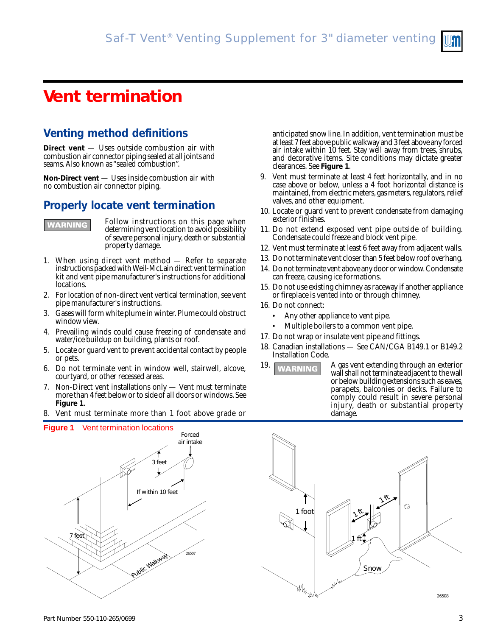# **Vent termination**

# **Venting method definitions**

**Direct vent** — Uses outside combustion air with combustion air connector piping sealed at all joints and seams. Also known as "sealed combustion".

**Non-Direct vent** — Uses inside combustion air with no combustion air connector piping.

### **Properly locate vent termination**



Follow instructions on this page when determining vent location to avoid possibility of severe personal injury, death or substantial property damage.

- 1. When using direct vent method Refer to separate instructions packed with Weil-McLain direct vent termination kit and vent pipe manufacturer's instructions for additional locations.
- 2. For location of non-direct vent vertical termination, see vent pipe manufacturer's instructions.
- 3. Gases will form white plume in winter. Plume could obstruct window view.
- 4. Prevailing winds could cause freezing of condensate and water/ice buildup on building, plants or roof.
- 5. Locate or guard vent to prevent accidental contact by people or pets.
- 6. Do not terminate vent in window well, stairwell, alcove, courtyard, or other recessed areas.
- 7. Non-Direct vent installations only Vent must terminate more than 4 feet below or to side of all doors or windows. See **Figure 1**.
- Vent must terminate more than 1 foot above grade or

anticipated snow line. In addition, vent termination must be at least 7 feet above public walkway and 3 feet above any forced air intake within 10 feet. Stay well away from trees, shrubs, and decorative items. Site conditions may dictate greater clearances. See **Figure 1**.

- 9. Vent must terminate at least 4 feet horizontally, and in no case above or below, unless a 4 foot horizontal distance is maintained, from electric meters, gas meters, regulators, relief valves, and other equipment.
- 10. Locate or guard vent to prevent condensate from damaging exterior finishes.
- 11. Do not extend exposed vent pipe outside of building. Condensate could freeze and block vent pipe.
- 12. Vent must terminate at least 6 feet away from adjacent walls.
- 13. Do not terminate vent closer than 5 feet below roof overhang.
- 14. Do not terminate vent above any door or window. Condensate can freeze, causing ice formations.
- 15. Do not use existing chimney as raceway if another appliance or fireplace is vented into or through chimney.
- 16. Do not connect:
	- Any other appliance to vent pipe.
	- Multiple boilers to a common vent pipe.
- 17. Do not wrap or insulate vent pipe and fittings.
- 18. Canadian installations See CAN/CGA B149.1 or B149.2 Installation Code.
- 19. **WARNING** A gas vent extending through an exterior wall shall not terminate adjacent to the wall or below building extensions such as eaves, parapets, balconies or decks. Failure to comply could result in severe personal injury, death or substantial property damage.



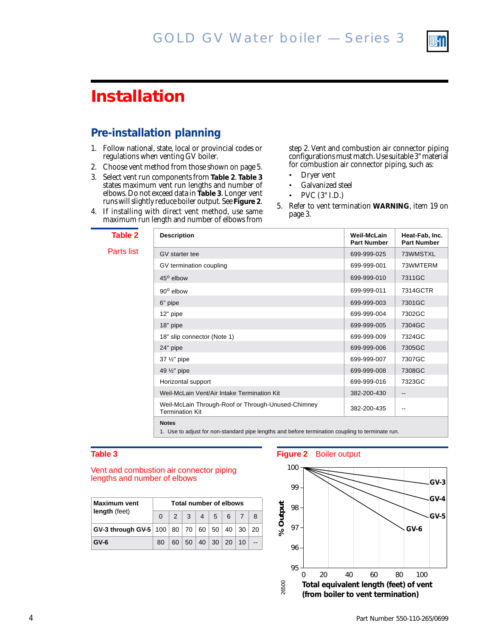

# **Installation**

## **Pre-installation planning**

- 1. Follow national, state, local or provincial codes or regulations when venting GV boiler.
- 2. Choose vent method from those shown on page 5.
- 3. Select vent run components from **Table 2**. **Table 3** states maximum vent run lengths and number of elbows. Do not exceed data in **Table 3**. Longer vent runs will slightly reduce boiler output. See **Figure 2**.
- 4. If installing with direct vent method, use same maximum run length and number of elbows from

step 2. Vent and combustion air connector piping configurations must match. Use suitable 3" material for combustion air connector piping, such as:

- Dryer vent
- Galvanized steel
- PVC (3" I.D.)
- 5. Refer to vent termination **WARNING**, item 19 on page 3.

| Table 2    | <b>Description</b>                                                                                                               | Weil-McLain<br><b>Part Number</b> | Heat-Fab, Inc.<br><b>Part Number</b> |  |
|------------|----------------------------------------------------------------------------------------------------------------------------------|-----------------------------------|--------------------------------------|--|
| Parts list | GV starter tee                                                                                                                   | 699-999-025                       | 73WMSTXL                             |  |
|            | GV termination coupling                                                                                                          | 699-999-001                       | 73WMTERM                             |  |
|            | 45° elbow                                                                                                                        | 699-999-010                       | 7311GC                               |  |
|            | $90^{\circ}$ elbow                                                                                                               | 699-999-011                       | 7314GCTR                             |  |
|            | 6" pipe                                                                                                                          | 699-999-003                       | 7301GC                               |  |
|            | 12" pipe                                                                                                                         | 699-999-004                       | 7302GC                               |  |
|            | 18" pipe                                                                                                                         | 699-999-005                       | 7304GC                               |  |
|            | 18" slip connector (Note 1)                                                                                                      | 699-999-009                       | 7324GC                               |  |
|            | 24" pipe                                                                                                                         | 699-999-006                       | 7305GC                               |  |
|            | 37 1/2" pipe                                                                                                                     | 699-999-007                       | 7307GC                               |  |
|            | 49 1/2" pipe                                                                                                                     | 699-999-008                       | 7308GC                               |  |
|            | Horizontal support                                                                                                               | 699-999-016                       | 7323GC                               |  |
|            | Weil-McLain Vent/Air Intake Termination Kit                                                                                      | 382-200-430                       | --                                   |  |
|            | Weil-McLain Through-Roof or Through-Unused-Chimney<br><b>Termination Kit</b>                                                     | 382-200-435                       | --                                   |  |
|            | <b>Notes</b><br>A The Later Calleria Laterate and also leaders and and laterate and another the continuation of the continues of |                                   |                                      |  |

1. Use to adjust for non-standard pipe lengths and before termination coupling to terminate run.

#### **Table 3**

#### Vent and combustion air connector piping lengths and number of elbows

| <b>Maximum vent</b><br>length (feet)                                           | <b>Total number of elbows</b> |  |  |  |                                 |                        |    |  |
|--------------------------------------------------------------------------------|-------------------------------|--|--|--|---------------------------------|------------------------|----|--|
|                                                                                |                               |  |  |  | $2 \mid 3 \mid 4 \mid 5 \mid 6$ |                        |    |  |
| $ $ GV-3 through GV-5 $ $ 100 $ $ 80 $ $ 70 $ $ 60 $ $ 50 $ $ 40 $ $ 30 $ $ 20 |                               |  |  |  |                                 |                        |    |  |
| $GV-6$                                                                         | 80                            |  |  |  |                                 | 60   50   40   30   20 | 10 |  |

#### **Figure 2** Boiler output

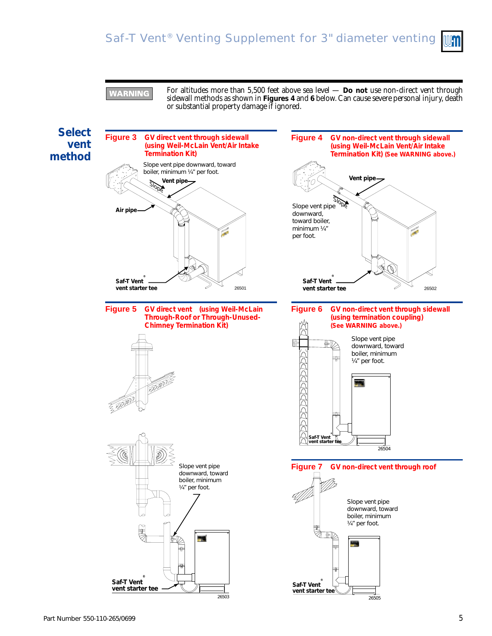

**VARNING** 

For altitudes more than 5,500 feet above sea level — **Do not** use non-direct vent through sidewall methods as shown in **Figures 4** and **6** below. Can cause severe personal injury, death or substantial property damage if ignored.

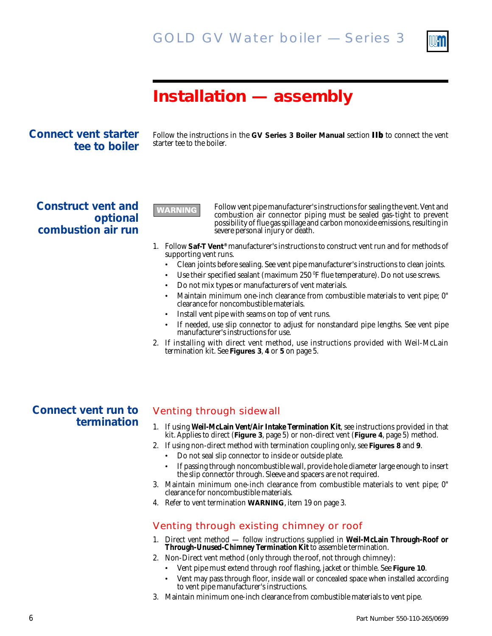

# **Installation — assembly**

**Connect vent starter tee to boiler**

Follow the instructions in the **GV Series 3 Boiler Manual** section **IIb** to connect the vent starter tee to the boiler.

**Construct vent and optional combustion air run**

**WARNING** 

Follow vent pipe manufacturer's instructions for sealing the vent. Vent and combustion air connector piping must be sealed gas-tight to prevent possibility of flue gas spillage and carbon monoxide emissions, resulting in severe personal injury or death.

- 1. Follow **Saf-T Vent®** manufacturer's instructions to construct vent run and for methods of supporting vent runs.
	- Clean joints before sealing. See vent pipe manufacturer's instructions to clean joints.
	- Use their specified sealant (maximum 250 <sup>o</sup>F flue temperature). Do not use screws.
	- Do not mix types or manufacturers of vent materials.
	- Maintain minimum one-inch clearance from combustible materials to vent pipe; 0" clearance for noncombustible materials.
	- Install vent pipe with seams on top of vent runs.
	- If needed, use slip connector to adjust for nonstandard pipe lengths. See vent pipe manufacturer's instructions for use.
- 2. If installing with direct vent method, use instructions provided with Weil-McLain termination kit. See **Figures 3**, **4** or **5** on page 5.

# **Connect vent run to termination**

### Venting through sidewall

- 1. If using **Weil-McLain Vent/Air Intake Termination Kit**, see instructions provided in that kit. Applies to direct (**Figure 3**, page 5) or non-direct vent (**Figure 4**, page 5) method.
- 2. If using non-direct method with termination coupling only, see **Figures 8** and **9**.
	- Do not seal slip connector to inside or outside plate.
	- If passing through noncombustible wall, provide hole diameter large enough to insert the slip connector through. Sleeve and spacers are not required.
- 3. Maintain minimum one-inch clearance from combustible materials to vent pipe; 0" clearance for noncombustible materials.
- 4. Refer to vent termination **WARNING**, item 19 on page 3.

### Venting through existing chimney or roof

- 1. Direct vent method follow instructions supplied in **Weil-McLain Through-Roof or Through-Unused-Chimney Termination Kit** to assemble termination.
- 2. Non-Direct vent method (only through the roof, not through chimney):
	- Vent pipe must extend through roof flashing, jacket or thimble. See **Figure 10**.
	- Vent may pass through floor, inside wall or concealed space when installed according to vent pipe manufacturer's instructions.
- 3. Maintain minimum one-inch clearance from combustible materials to vent pipe.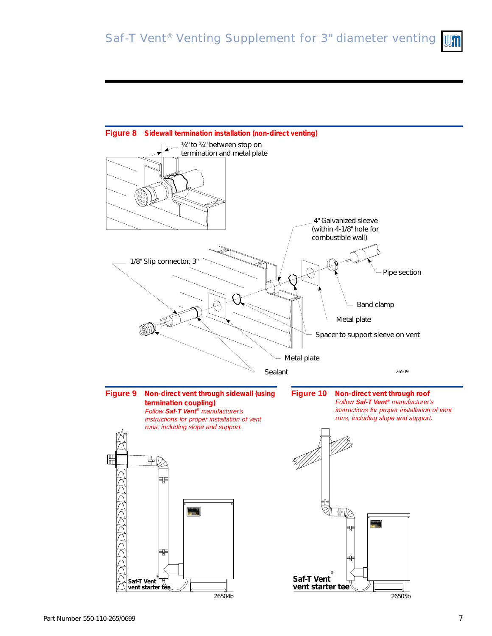